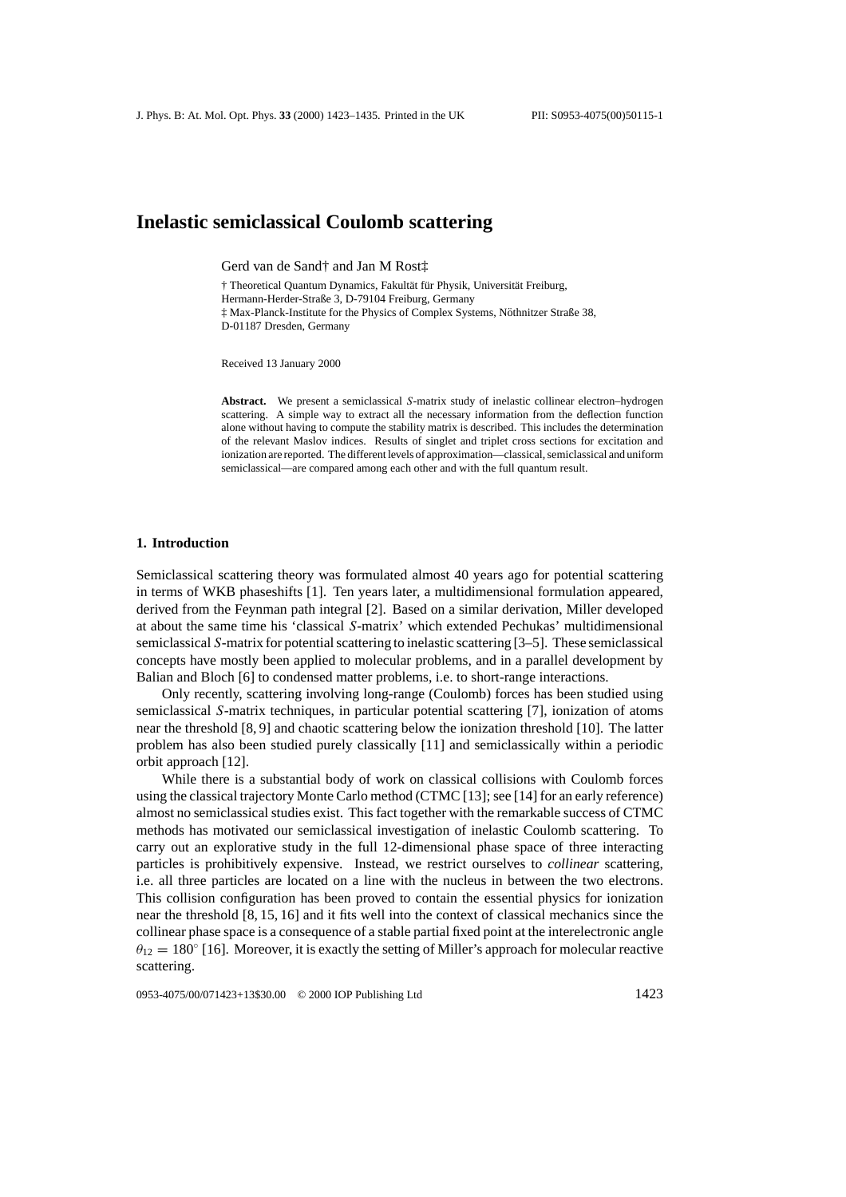# **Inelastic semiclassical Coulomb scattering**

Gerd van de Sand† and Jan M Rost‡

† Theoretical Quantum Dynamics, Fakultät für Physik, Universität Freiburg, Hermann-Herder-Straße 3, D-79104 Freiburg, Germany ‡ Max-Planck-Institute for the Physics of Complex Systems, Nothnitzer Straße 38, ¨ D-01187 Dresden, Germany

Received 13 January 2000

**Abstract.** We present a semiclassical *S*-matrix study of inelastic collinear electron–hydrogen scattering. A simple way to extract all the necessary information from the deflection function alone without having to compute the stability matrix is described. This includes the determination of the relevant Maslov indices. Results of singlet and triplet cross sections for excitation and ionization are reported. The different levels of approximation—classical, semiclassical and uniform semiclassical—are compared among each other and with the full quantum result.

### **1. Introduction**

Semiclassical scattering theory was formulated almost 40 years ago for potential scattering in terms of WKB phaseshifts [1]. Ten years later, a multidimensional formulation appeared, derived from the Feynman path integral [2]. Based on a similar derivation, Miller developed at about the same time his 'classical *S*-matrix' which extended Pechukas' multidimensional semiclassical *S*-matrix for potential scattering to inelastic scattering [3–5]. These semiclassical concepts have mostly been applied to molecular problems, and in a parallel development by Balian and Bloch [6] to condensed matter problems, i.e. to short-range interactions.

Only recently, scattering involving long-range (Coulomb) forces has been studied using semiclassical *S*-matrix techniques, in particular potential scattering [7], ionization of atoms near the threshold [8, 9] and chaotic scattering below the ionization threshold [10]. The latter problem has also been studied purely classically [11] and semiclassically within a periodic orbit approach [12].

While there is a substantial body of work on classical collisions with Coulomb forces using the classical trajectory Monte Carlo method (CTMC [13]; see [14] for an early reference) almost no semiclassical studies exist. This fact together with the remarkable success of CTMC methods has motivated our semiclassical investigation of inelastic Coulomb scattering. To carry out an explorative study in the full 12-dimensional phase space of three interacting particles is prohibitively expensive. Instead, we restrict ourselves to *collinear* scattering, i.e. all three particles are located on a line with the nucleus in between the two electrons. This collision configuration has been proved to contain the essential physics for ionization near the threshold [8, 15, 16] and it fits well into the context of classical mechanics since the collinear phase space is a consequence of a stable partial fixed point at the interelectronic angle  $\theta_{12} = 180^\circ$  [16]. Moreover, it is exactly the setting of Miller's approach for molecular reactive scattering.

0953-4075/00/071423+13\$30.00 © 2000 IOP Publishing Ltd 1423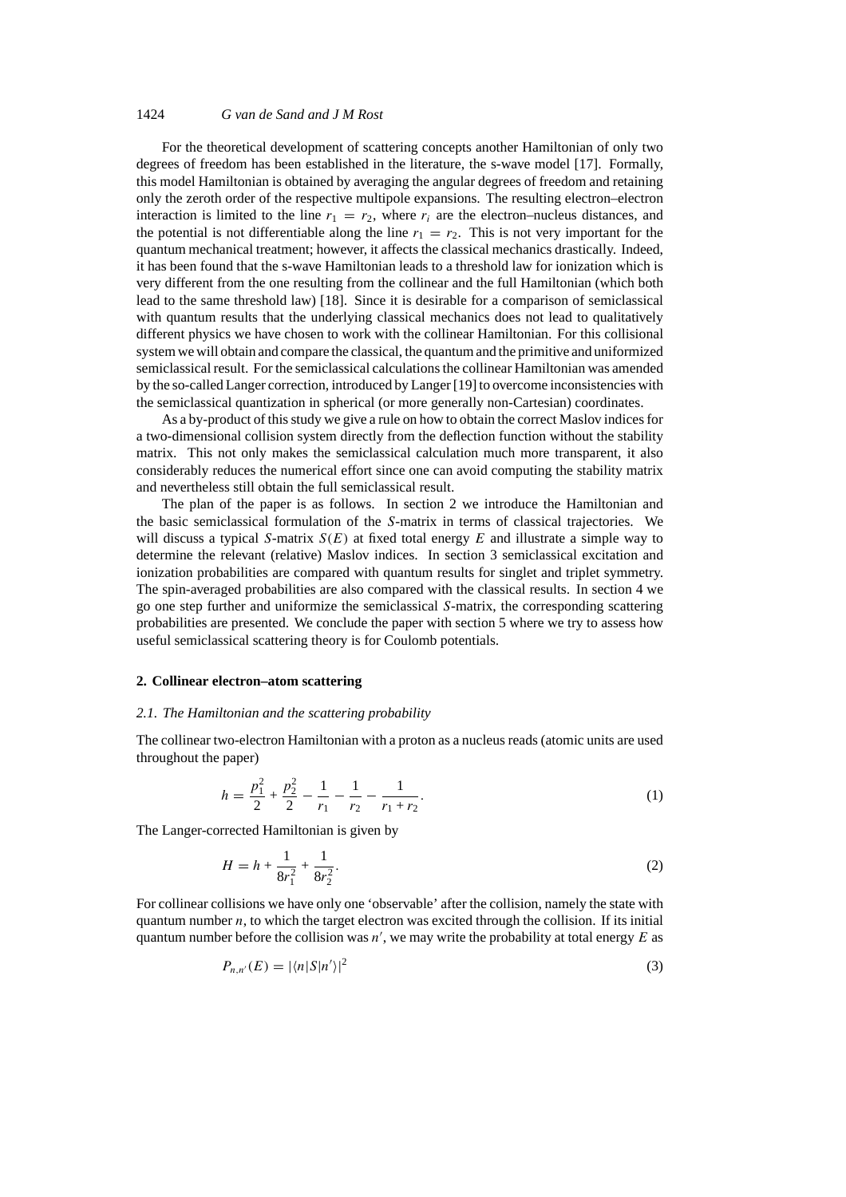## 1424 *G van de Sand and J M Rost*

For the theoretical development of scattering concepts another Hamiltonian of only two degrees of freedom has been established in the literature, the s-wave model [17]. Formally, this model Hamiltonian is obtained by averaging the angular degrees of freedom and retaining only the zeroth order of the respective multipole expansions. The resulting electron–electron interaction is limited to the line  $r_1 = r_2$ , where  $r_i$  are the electron–nucleus distances, and the potential is not differentiable along the line  $r_1 = r_2$ . This is not very important for the quantum mechanical treatment; however, it affects the classical mechanics drastically. Indeed, it has been found that the s-wave Hamiltonian leads to a threshold law for ionization which is very different from the one resulting from the collinear and the full Hamiltonian (which both lead to the same threshold law) [18]. Since it is desirable for a comparison of semiclassical with quantum results that the underlying classical mechanics does not lead to qualitatively different physics we have chosen to work with the collinear Hamiltonian. For this collisional system we will obtain and compare the classical, the quantum and the primitive and uniformized semiclassical result. For the semiclassical calculations the collinear Hamiltonian was amended by the so-called Langer correction, introduced by Langer [19] to overcome inconsistencies with the semiclassical quantization in spherical (or more generally non-Cartesian) coordinates.

As a by-product of this study we give a rule on how to obtain the correct Maslov indices for a two-dimensional collision system directly from the deflection function without the stability matrix. This not only makes the semiclassical calculation much more transparent, it also considerably reduces the numerical effort since one can avoid computing the stability matrix and nevertheless still obtain the full semiclassical result.

The plan of the paper is as follows. In section 2 we introduce the Hamiltonian and the basic semiclassical formulation of the *S*-matrix in terms of classical trajectories. We will discuss a typical *S*-matrix  $S(E)$  at fixed total energy *E* and illustrate a simple way to determine the relevant (relative) Maslov indices. In section 3 semiclassical excitation and ionization probabilities are compared with quantum results for singlet and triplet symmetry. The spin-averaged probabilities are also compared with the classical results. In section 4 we go one step further and uniformize the semiclassical *S*-matrix, the corresponding scattering probabilities are presented. We conclude the paper with section 5 where we try to assess how useful semiclassical scattering theory is for Coulomb potentials.

## **2. Collinear electron–atom scattering**

### *2.1. The Hamiltonian and the scattering probability*

The collinear two-electron Hamiltonian with a proton as a nucleus reads (atomic units are used throughout the paper)

$$
h = \frac{p_1^2}{2} + \frac{p_2^2}{2} - \frac{1}{r_1} - \frac{1}{r_2} - \frac{1}{r_1 + r_2}.
$$
 (1)

The Langer-corrected Hamiltonian is given by

$$
H = h + \frac{1}{8r_1^2} + \frac{1}{8r_2^2}.
$$
 (2)

For collinear collisions we have only one 'observable' after the collision, namely the state with quantum number *n*, to which the target electron was excited through the collision. If its initial quantum number before the collision was  $n'$ , we may write the probability at total energy  $E$  as

$$
P_{n,n'}(E) = |\langle n|S|n'\rangle|^2 \tag{3}
$$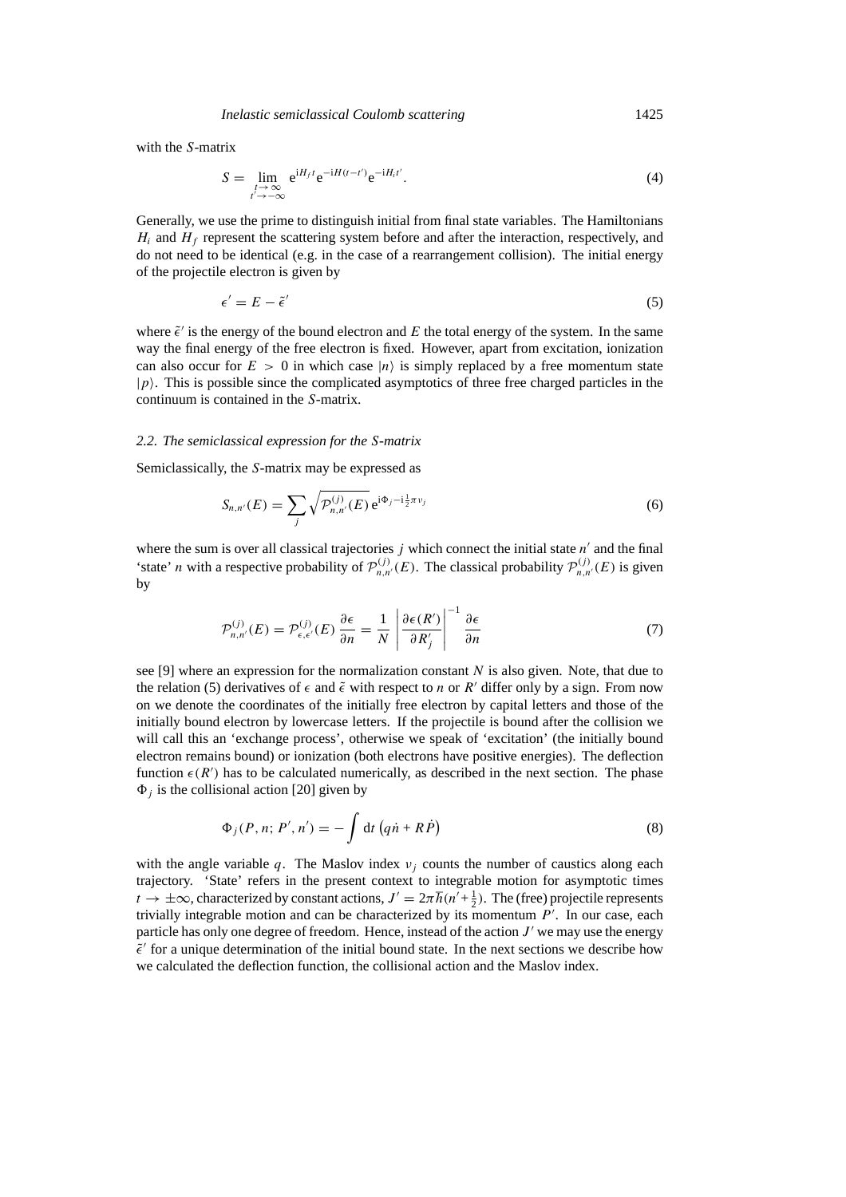with the *S*-matrix

$$
S = \lim_{\substack{t \to \infty \\ t' \to -\infty}} e^{iH_f t} e^{-iH(t-t')} e^{-iH_i t'}.
$$
\n
$$
\tag{4}
$$

Generally, we use the prime to distinguish initial from final state variables. The Hamiltonians  $H_i$  and  $H_f$  represent the scattering system before and after the interaction, respectively, and do not need to be identical (e.g. in the case of a rearrangement collision). The initial energy of the projectile electron is given by

$$
\epsilon' = E - \tilde{\epsilon}' \tag{5}
$$

where  $\tilde{\epsilon}$  is the energy of the bound electron and *E* the total energy of the system. In the same way the final energy of the free electron is fixed. However, apart from excitation, ionization can also occur for  $E > 0$  in which case  $|n\rangle$  is simply replaced by a free momentum state  $|p\rangle$ . This is possible since the complicated asymptotics of three free charged particles in the continuum is contained in the *S*-matrix.

## *2.2. The semiclassical expression for the S-matrix*

Semiclassically, the *S*-matrix may be expressed as

$$
S_{n,n'}(E) = \sum_{j} \sqrt{\mathcal{P}_{n,n'}^{(j)}(E)} \,\mathrm{e}^{\mathrm{i}\Phi_j - \mathrm{i}\frac{1}{2}\pi\nu_j} \tag{6}
$$

where the sum is over all classical trajectories  $j$  which connect the initial state  $n'$  and the final 'state' *n* with a respective probability of  $\mathcal{P}_{n,n'}^{(j)}(E)$ . The classical probability  $\mathcal{P}_{n,n'}^{(j)}(E)$  is given by

$$
\mathcal{P}_{n,n'}^{(j)}(E) = \mathcal{P}_{\epsilon,\epsilon'}^{(j)}(E) \frac{\partial \epsilon}{\partial n} = \frac{1}{N} \left| \frac{\partial \epsilon(R')}{\partial R'_j} \right|^{-1} \frac{\partial \epsilon}{\partial n}
$$
(7)

see [9] where an expression for the normalization constant *N* is also given. Note, that due to the relation (5) derivatives of  $\epsilon$  and  $\tilde{\epsilon}$  with respect to *n* or *R'* differ only by a sign. From now on we denote the coordinates of the initially free electron by capital letters and those of the initially bound electron by lowercase letters. If the projectile is bound after the collision we will call this an 'exchange process', otherwise we speak of 'excitation' (the initially bound electron remains bound) or ionization (both electrons have positive energies). The deflection function  $\epsilon(R')$  has to be calculated numerically, as described in the next section. The phase  $\Phi_j$  is the collisional action [20] given by

$$
\Phi_j(P, n; P', n') = -\int \mathrm{d}t \left( q\dot{n} + R\dot{P} \right) \tag{8}
$$

with the angle variable q. The Maslov index  $v_j$  counts the number of caustics along each trajectory. 'State' refers in the present context to integrable motion for asymptotic times  $t \to \pm \infty$ , characterized by constant actions,  $J' = 2\pi \hbar (n' + \frac{1}{2})$ . The (free) projectile represents trivially integrable motion and can be characterized by its momentum  $P'$ . In our case, each particle has only one degree of freedom. Hence, instead of the action  $J'$  we may use the energy  $\tilde{\epsilon}'$  for a unique determination of the initial bound state. In the next sections we describe how we calculated the deflection function, the collisional action and the Maslov index.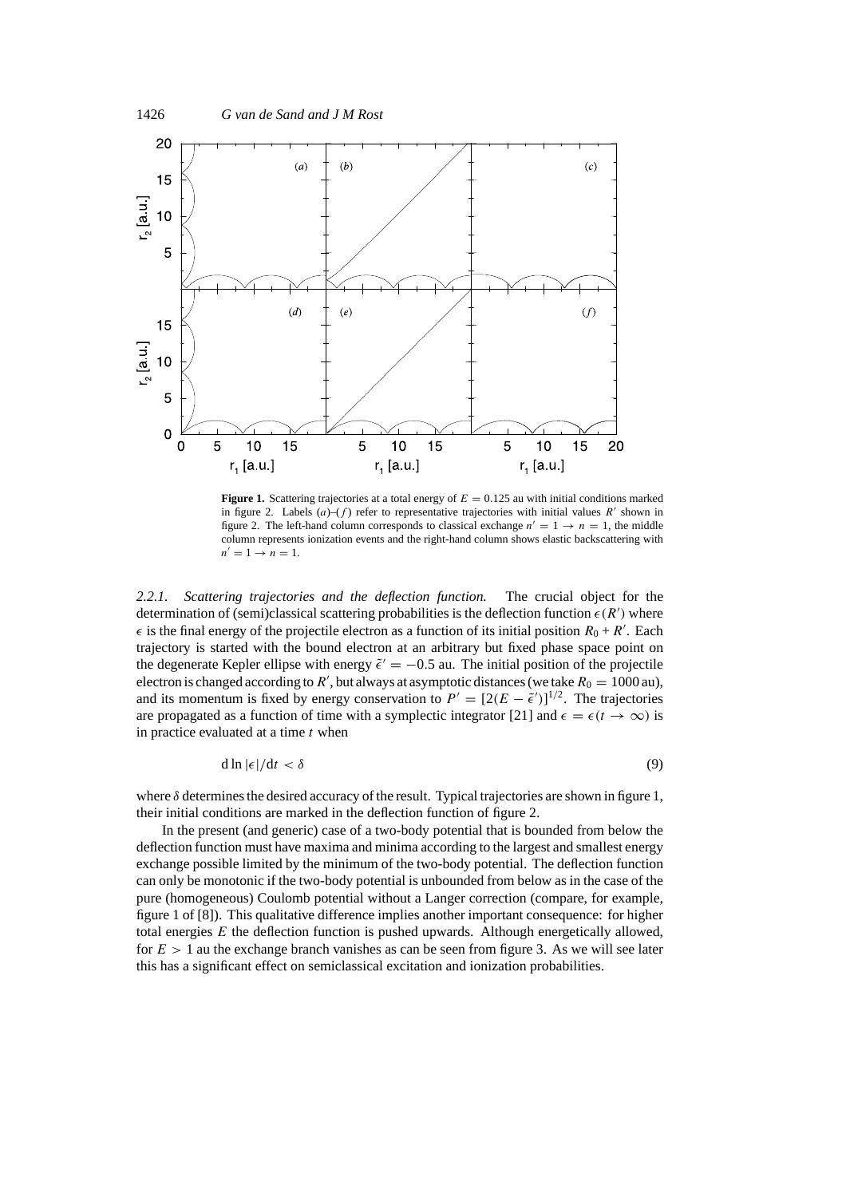

**Figure 1.** Scattering trajectories at a total energy of *E* = 0*.*125 au with initial conditions marked in figure 2. Labels  $(a)$ – $(f)$  refer to representative trajectories with initial values *R'* shown in figure 2. The left-hand column corresponds to classical exchange  $n' = 1 \rightarrow n = 1$ , the middle column represents ionization events and the right-hand column shows elastic backscattering with  $n' = 1 \rightarrow n = 1.$ 

*2.2.1. Scattering trajectories and the deflection function.* The crucial object for the determination of (semi)classical scattering probabilities is the deflection function  $\epsilon(R')$  where  $\epsilon$  is the final energy of the projectile electron as a function of its initial position  $R_0 + R'$ . Each trajectory is started with the bound electron at an arbitrary but fixed phase space point on the degenerate Kepler ellipse with energy  $\tilde{\epsilon}' = -0.5$  au. The initial position of the projectile electron is changed according to *R'*, but always at asymptotic distances (we take  $R_0 = 1000$  au), and its momentum is fixed by energy conservation to  $P' = [2(E - \tilde{\epsilon}')]^{1/2}$ . The trajectories are propagated as a function of time with a symplectic integrator [21] and  $\epsilon = \epsilon(t \to \infty)$  is in practice evaluated at a time *t* when

$$
d \ln |\epsilon| / dt < \delta \tag{9}
$$

where *δ* determines the desired accuracy of the result. Typical trajectories are shown in figure 1, their initial conditions are marked in the deflection function of figure 2.

In the present (and generic) case of a two-body potential that is bounded from below the deflection function must have maxima and minima according to the largest and smallest energy exchange possible limited by the minimum of the two-body potential. The deflection function can only be monotonic if the two-body potential is unbounded from below as in the case of the pure (homogeneous) Coulomb potential without a Langer correction (compare, for example, figure 1 of [8]). This qualitative difference implies another important consequence: for higher total energies *E* the deflection function is pushed upwards. Although energetically allowed, for  $E > 1$  au the exchange branch vanishes as can be seen from figure 3. As we will see later this has a significant effect on semiclassical excitation and ionization probabilities.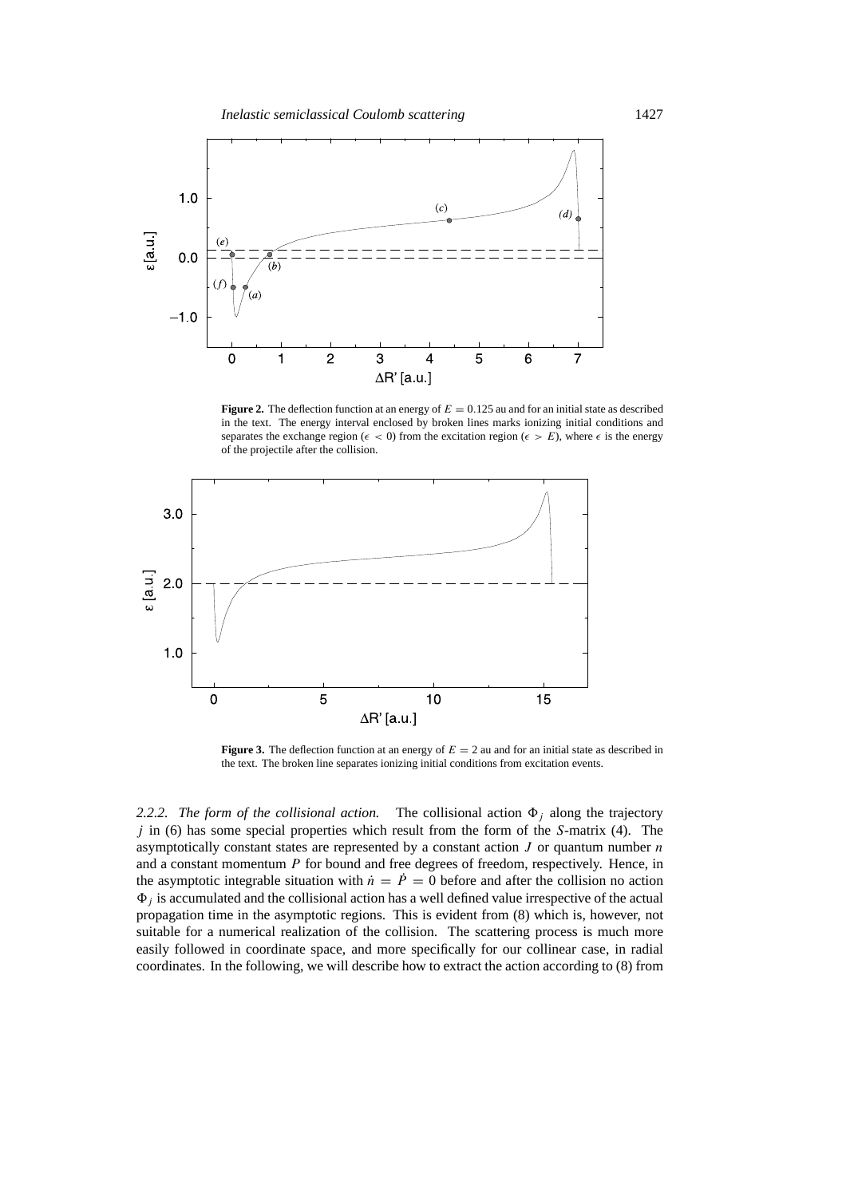

**Figure 2.** The deflection function at an energy of  $E = 0.125$  au and for an initial state as described in the text. The energy interval enclosed by broken lines marks ionizing initial conditions and separates the exchange region ( $\epsilon$  < 0) from the excitation region ( $\epsilon > E$ ), where  $\epsilon$  is the energy of the projectile after the collision.



**Figure 3.** The deflection function at an energy of  $E = 2$  au and for an initial state as described in the text. The broken line separates ionizing initial conditions from excitation events.

2.2.2. The form of the collisional action. The collisional action  $\Phi_i$  along the trajectory *j* in (6) has some special properties which result from the form of the *S*-matrix (4). The asymptotically constant states are represented by a constant action *J* or quantum number *n* and a constant momentum *P* for bound and free degrees of freedom, respectively. Hence, in the asymptotic integrable situation with  $\dot{n} = \dot{P} = 0$  before and after the collision no action  $\Phi_i$  is accumulated and the collisional action has a well defined value irrespective of the actual propagation time in the asymptotic regions. This is evident from (8) which is, however, not suitable for a numerical realization of the collision. The scattering process is much more easily followed in coordinate space, and more specifically for our collinear case, in radial coordinates. In the following, we will describe how to extract the action according to (8) from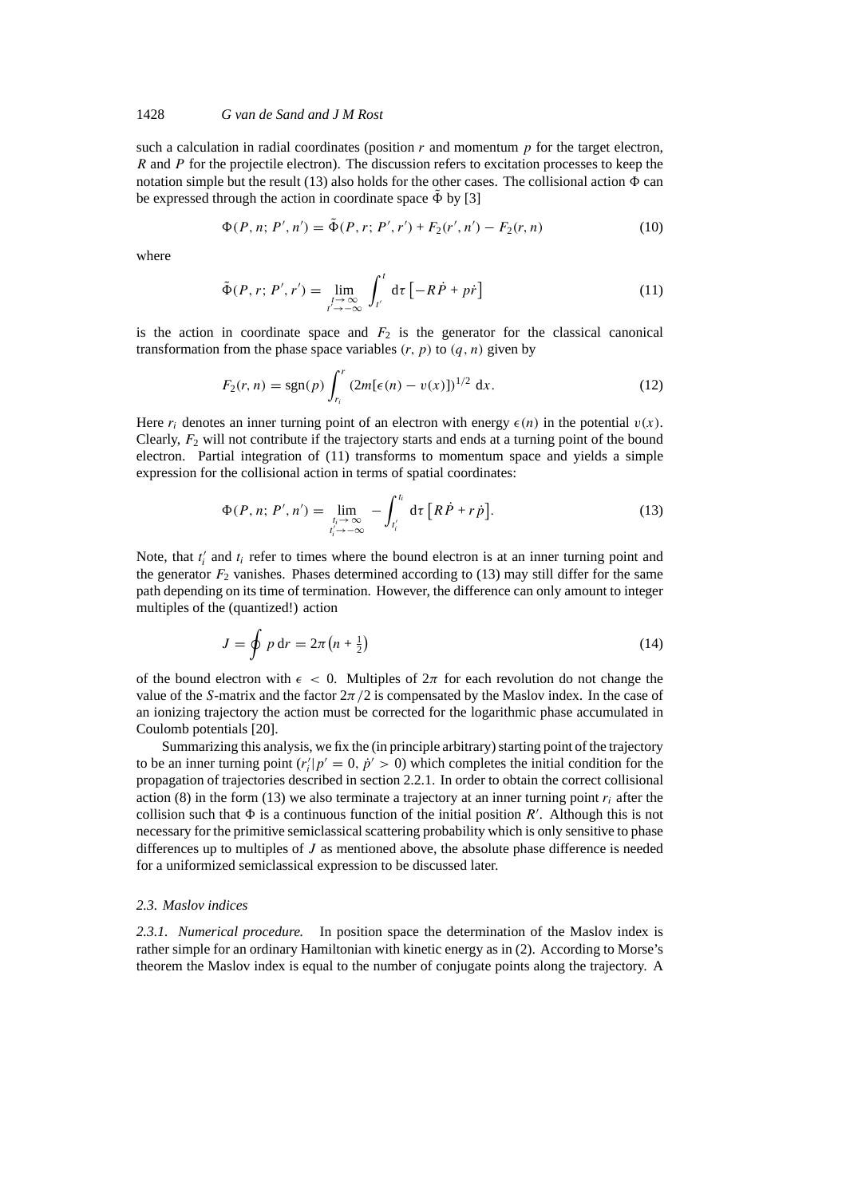## 1428 *G van de Sand and J M Rost*

such a calculation in radial coordinates (position  $r$  and momentum  $p$  for the target electron, *R* and *P* for the projectile electron). The discussion refers to excitation processes to keep the notation simple but the result  $(13)$  also holds for the other cases. The collisional action  $\Phi$  can be expressed through the action in coordinate space  $\tilde{\Phi}$  by [3]

$$
\Phi(P, n; P', n') = \tilde{\Phi}(P, r; P', r') + F_2(r', n') - F_2(r, n)
$$
\n(10)

where

$$
\tilde{\Phi}(P,r;P',r') = \lim_{\substack{t \to \infty \\ t' \to -\infty}} \int_{t'}^{t} d\tau \left[ -R\dot{P} + p\dot{r} \right]
$$
\n(11)

is the action in coordinate space and  $F_2$  is the generator for the classical canonical transformation from the phase space variables  $(r, p)$  to  $(q, n)$  given by

$$
F_2(r,n) = \text{sgn}(p) \int_{r_i}^r (2m[\epsilon(n) - v(x)])^{1/2} dx.
$$
 (12)

Here  $r_i$  denotes an inner turning point of an electron with energy  $\epsilon(n)$  in the potential  $v(x)$ . Clearly, *F*<sup>2</sup> will not contribute if the trajectory starts and ends at a turning point of the bound electron. Partial integration of (11) transforms to momentum space and yields a simple expression for the collisional action in terms of spatial coordinates:

$$
\Phi(P, n; P', n') = \lim_{\substack{t_i \to \infty \\ t'_i \to -\infty}} - \int_{t'_i}^{t_i} d\tau \left[ R\dot{P} + r\dot{p} \right]. \tag{13}
$$

Note, that  $t_i'$  and  $t_i$  refer to times where the bound electron is at an inner turning point and the generator  $F_2$  vanishes. Phases determined according to (13) may still differ for the same path depending on its time of termination. However, the difference can only amount to integer multiples of the (quantized!) action

$$
J = \oint p dr = 2\pi \left( n + \frac{1}{2} \right) \tag{14}
$$

of the bound electron with  $\epsilon$  < 0. Multiples of  $2\pi$  for each revolution do not change the value of the *S*-matrix and the factor  $2\pi/2$  is compensated by the Maslov index. In the case of an ionizing trajectory the action must be corrected for the logarithmic phase accumulated in Coulomb potentials [20].

Summarizing this analysis, we fix the (in principle arbitrary) starting point of the trajectory to be an inner turning point  $(r'_i|p' = 0, p' > 0)$  which completes the initial condition for the propagation of trajectories described in section 2.2.1. In order to obtain the correct collisional action (8) in the form (13) we also terminate a trajectory at an inner turning point  $r_i$  after the collision such that  $\Phi$  is a continuous function of the initial position  $R'$ . Although this is not necessary for the primitive semiclassical scattering probability which is only sensitive to phase differences up to multiples of *J* as mentioned above, the absolute phase difference is needed for a uniformized semiclassical expression to be discussed later.

#### *2.3. Maslov indices*

*2.3.1. Numerical procedure.* In position space the determination of the Maslov index is rather simple for an ordinary Hamiltonian with kinetic energy as in (2). According to Morse's theorem the Maslov index is equal to the number of conjugate points along the trajectory. A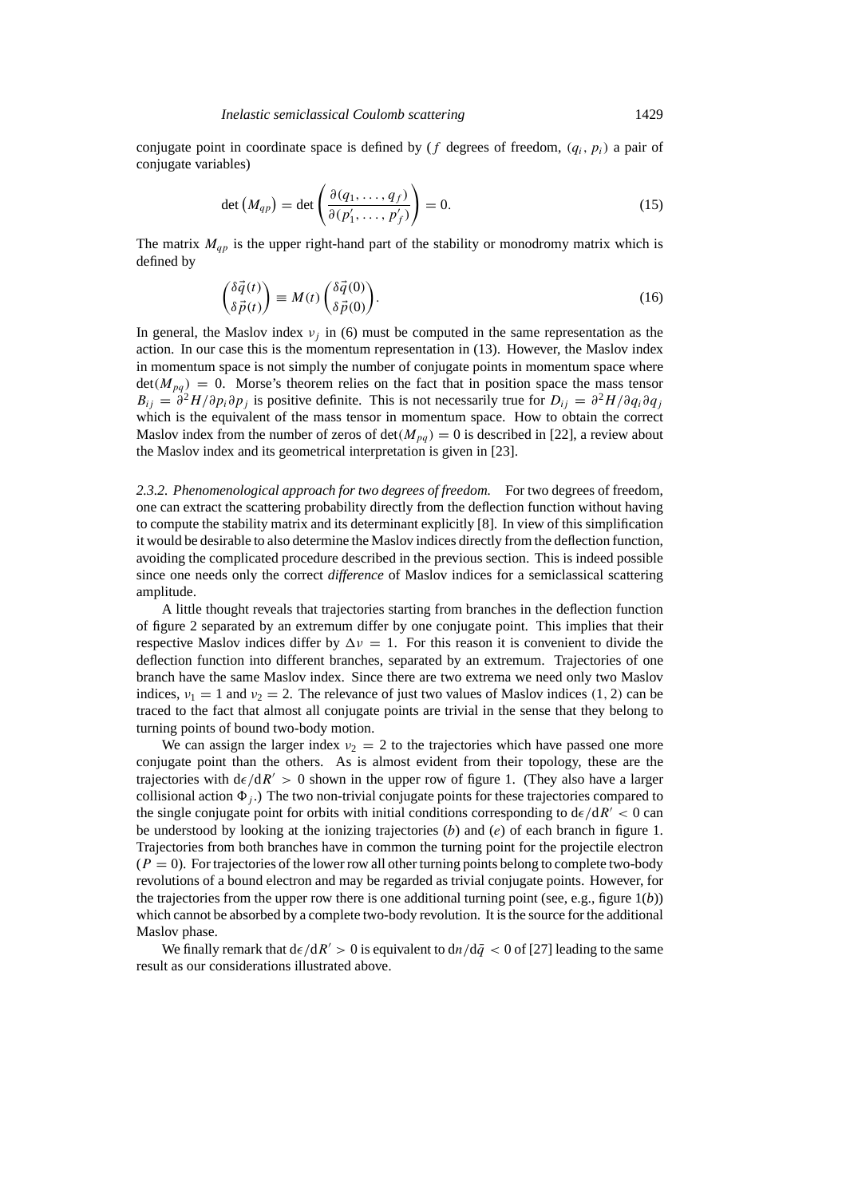conjugate point in coordinate space is defined by ( $f$  degrees of freedom,  $(q_i, p_i)$ ) a pair of conjugate variables)

$$
\det (M_{qp}) = \det \left( \frac{\partial (q_1, \dots, q_f)}{\partial (p'_1, \dots, p'_f)} \right) = 0.
$$
 (15)

The matrix  $M_{qp}$  is the upper right-hand part of the stability or monodromy matrix which is defined by

$$
\begin{pmatrix} \delta \vec{q}(t) \\ \delta \vec{p}(t) \end{pmatrix} \equiv M(t) \begin{pmatrix} \delta \vec{q}(0) \\ \delta \vec{p}(0) \end{pmatrix} . \tag{16}
$$

In general, the Maslov index  $v_i$  in (6) must be computed in the same representation as the action. In our case this is the momentum representation in (13). However, the Maslov index in momentum space is not simply the number of conjugate points in momentum space where  $\det(M_{pq}) = 0$ . Morse's theorem relies on the fact that in position space the mass tensor  $B_{ij} = \frac{\partial^2 H}{\partial p_i \partial p_j}$  is positive definite. This is not necessarily true for  $D_{ij} = \frac{\partial^2 H}{\partial q_i \partial q_j}$ which is the equivalent of the mass tensor in momentum space. How to obtain the correct Maslov index from the number of zeros of  $\det(M_{pq}) = 0$  is described in [22], a review about the Maslov index and its geometrical interpretation is given in [23].

*2.3.2. Phenomenological approach for two degrees of freedom.* For two degrees of freedom, one can extract the scattering probability directly from the deflection function without having to compute the stability matrix and its determinant explicitly [8]. In view of this simplification it would be desirable to also determine the Maslov indices directly from the deflection function, avoiding the complicated procedure described in the previous section. This is indeed possible since one needs only the correct *difference* of Maslov indices for a semiclassical scattering amplitude.

A little thought reveals that trajectories starting from branches in the deflection function of figure 2 separated by an extremum differ by one conjugate point. This implies that their respective Maslov indices differ by  $\Delta v = 1$ . For this reason it is convenient to divide the deflection function into different branches, separated by an extremum. Trajectories of one branch have the same Maslov index. Since there are two extrema we need only two Maslov indices,  $v_1 = 1$  and  $v_2 = 2$ . The relevance of just two values of Maslov indices (1, 2) can be traced to the fact that almost all conjugate points are trivial in the sense that they belong to turning points of bound two-body motion.

We can assign the larger index  $v_2 = 2$  to the trajectories which have passed one more conjugate point than the others. As is almost evident from their topology, these are the trajectories with  $d\epsilon/dR' > 0$  shown in the upper row of figure 1. (They also have a larger collisional action  $\Phi_i$ .) The two non-trivial conjugate points for these trajectories compared to the single conjugate point for orbits with initial conditions corresponding to  $d\epsilon/dR' < 0$  can be understood by looking at the ionizing trajectories (*b*) and (*e*) of each branch in figure 1. Trajectories from both branches have in common the turning point for the projectile electron  $(P = 0)$ . For trajectories of the lower row all other turning points belong to complete two-body revolutions of a bound electron and may be regarded as trivial conjugate points. However, for the trajectories from the upper row there is one additional turning point (see, e.g., figure 1(*b*)) which cannot be absorbed by a complete two-body revolution. It is the source for the additional Maslov phase.

We finally remark that  $d\epsilon/dR' > 0$  is equivalent to  $dn/d\bar{q} < 0$  of [27] leading to the same result as our considerations illustrated above.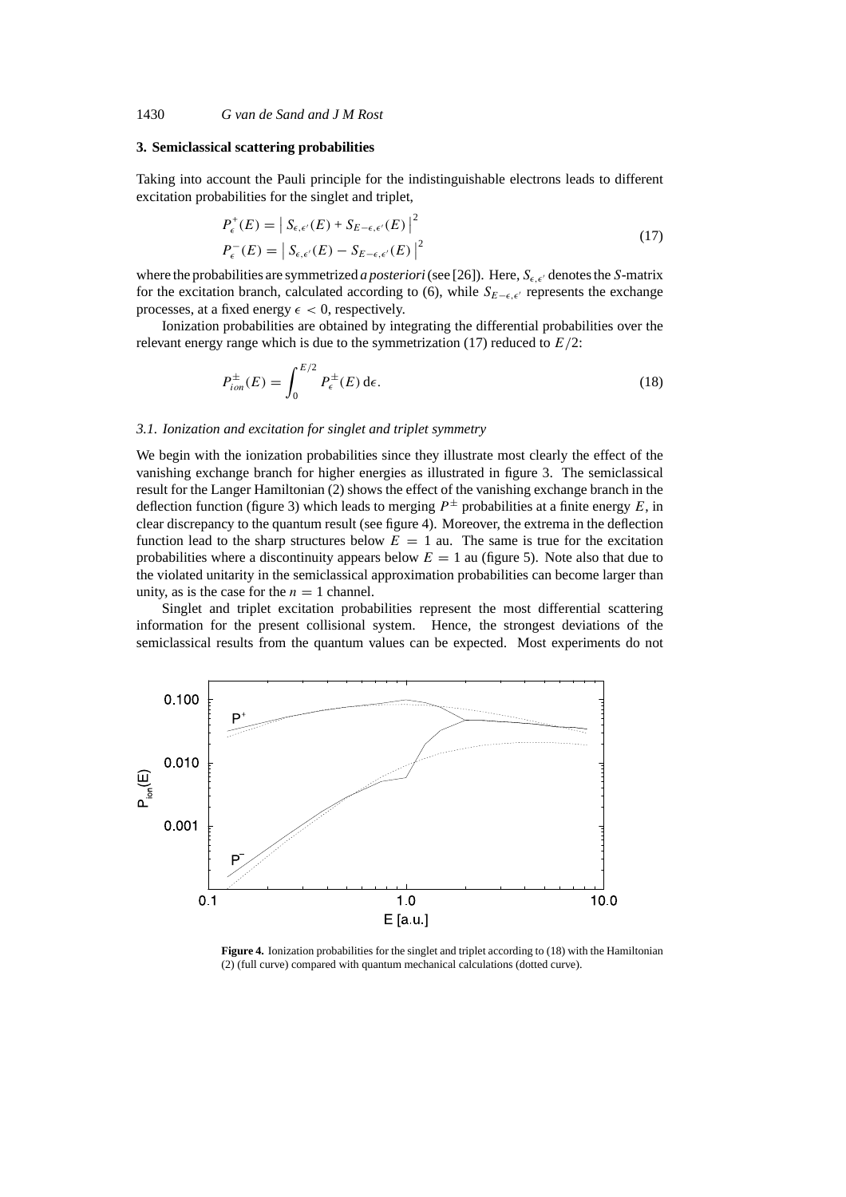### **3. Semiclassical scattering probabilities**

Taking into account the Pauli principle for the indistinguishable electrons leads to different excitation probabilities for the singlet and triplet,

$$
P_{\epsilon}^{+}(E) = |S_{\epsilon,\epsilon'}(E) + S_{E-\epsilon,\epsilon'}(E)|^{2}
$$
  
\n
$$
P_{\epsilon}^{-}(E) = |S_{\epsilon,\epsilon'}(E) - S_{E-\epsilon,\epsilon'}(E)|^{2}
$$
\n(17)

where the probabilities are symmetrized *a posteriori* (see [26]). Here,  $S_{\epsilon,\epsilon'}$  denotes the *S*-matrix for the excitation branch, calculated according to (6), while  $S_{E-\epsilon,\epsilon'}$  represents the exchange processes, at a fixed energy  $\epsilon < 0$ , respectively.

Ionization probabilities are obtained by integrating the differential probabilities over the relevant energy range which is due to the symmetrization (17) reduced to *E/*2:

$$
P_{ion}^{\pm}(E) = \int_0^{E/2} P_{\epsilon}^{\pm}(E) d\epsilon.
$$
 (18)

#### *3.1. Ionization and excitation for singlet and triplet symmetry*

We begin with the ionization probabilities since they illustrate most clearly the effect of the vanishing exchange branch for higher energies as illustrated in figure 3. The semiclassical result for the Langer Hamiltonian (2) shows the effect of the vanishing exchange branch in the deflection function (figure 3) which leads to merging  $P^{\pm}$  probabilities at a finite energy E, in clear discrepancy to the quantum result (see figure 4). Moreover, the extrema in the deflection function lead to the sharp structures below  $E = 1$  au. The same is true for the excitation probabilities where a discontinuity appears below  $E = 1$  au (figure 5). Note also that due to the violated unitarity in the semiclassical approximation probabilities can become larger than unity, as is the case for the  $n = 1$  channel.

Singlet and triplet excitation probabilities represent the most differential scattering information for the present collisional system. Hence, the strongest deviations of the semiclassical results from the quantum values can be expected. Most experiments do not



**Figure 4.** Ionization probabilities for the singlet and triplet according to (18) with the Hamiltonian (2) (full curve) compared with quantum mechanical calculations (dotted curve).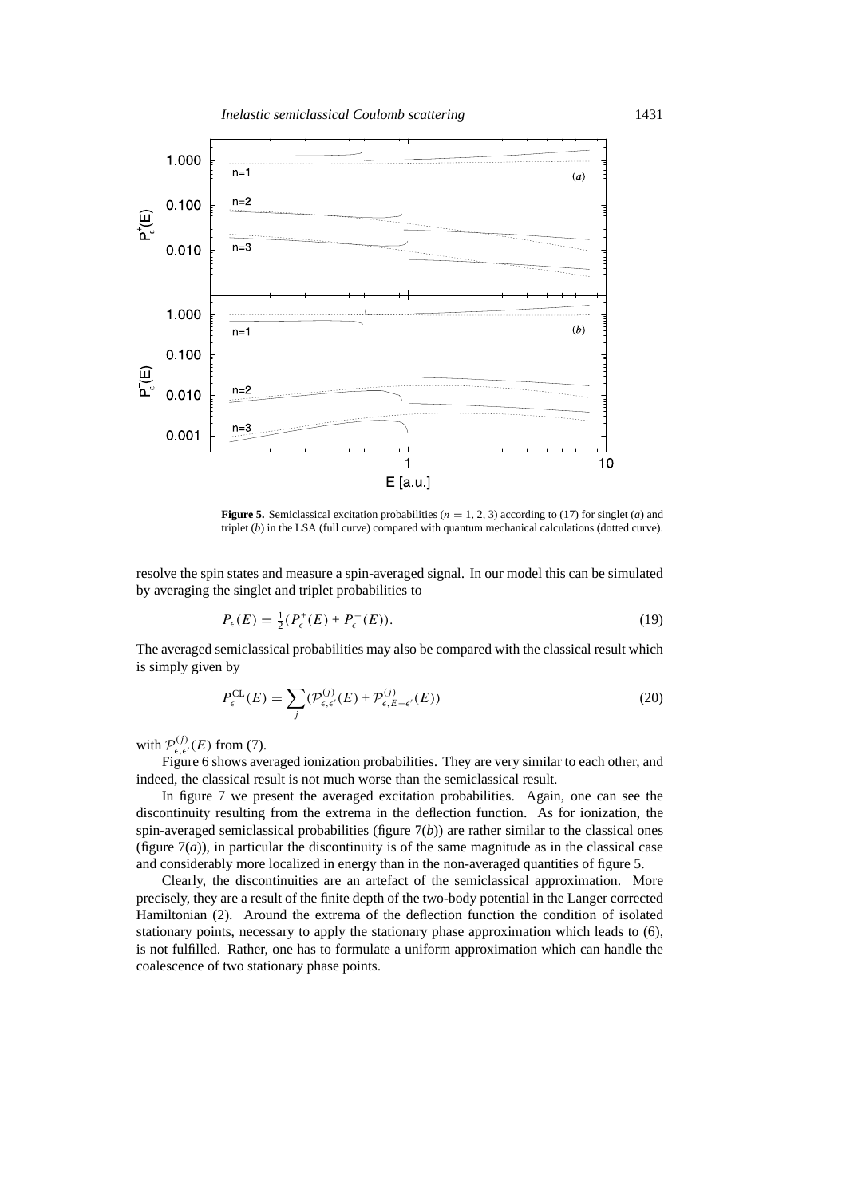

**Figure 5.** Semiclassical excitation probabilities ( $n = 1, 2, 3$ ) according to (17) for singlet (*a*) and triplet (*b*) in the LSA (full curve) compared with quantum mechanical calculations (dotted curve).

resolve the spin states and measure a spin-averaged signal. In our model this can be simulated by averaging the singlet and triplet probabilities to

$$
P_{\epsilon}(E) = \frac{1}{2}(P_{\epsilon}^{+}(E) + P_{\epsilon}^{-}(E)).
$$
\n(19)

The averaged semiclassical probabilities may also be compared with the classical result which is simply given by

$$
P_{\epsilon}^{\mathrm{CL}}(E) = \sum_{j} (\mathcal{P}_{\epsilon,\epsilon'}^{(j)}(E) + \mathcal{P}_{\epsilon,E-\epsilon'}^{(j)}(E))
$$
\n(20)

with  $\mathcal{P}_{\epsilon,\epsilon'}^{(j)}(E)$  from (7).

Figure 6 shows averaged ionization probabilities. They are very similar to each other, and indeed, the classical result is not much worse than the semiclassical result.

In figure 7 we present the averaged excitation probabilities. Again, one can see the discontinuity resulting from the extrema in the deflection function. As for ionization, the spin-averaged semiclassical probabilities (figure  $7(b)$ ) are rather similar to the classical ones (figure 7(*a*)), in particular the discontinuity is of the same magnitude as in the classical case and considerably more localized in energy than in the non-averaged quantities of figure 5.

Clearly, the discontinuities are an artefact of the semiclassical approximation. More precisely, they are a result of the finite depth of the two-body potential in the Langer corrected Hamiltonian (2). Around the extrema of the deflection function the condition of isolated stationary points, necessary to apply the stationary phase approximation which leads to (6), is not fulfilled. Rather, one has to formulate a uniform approximation which can handle the coalescence of two stationary phase points.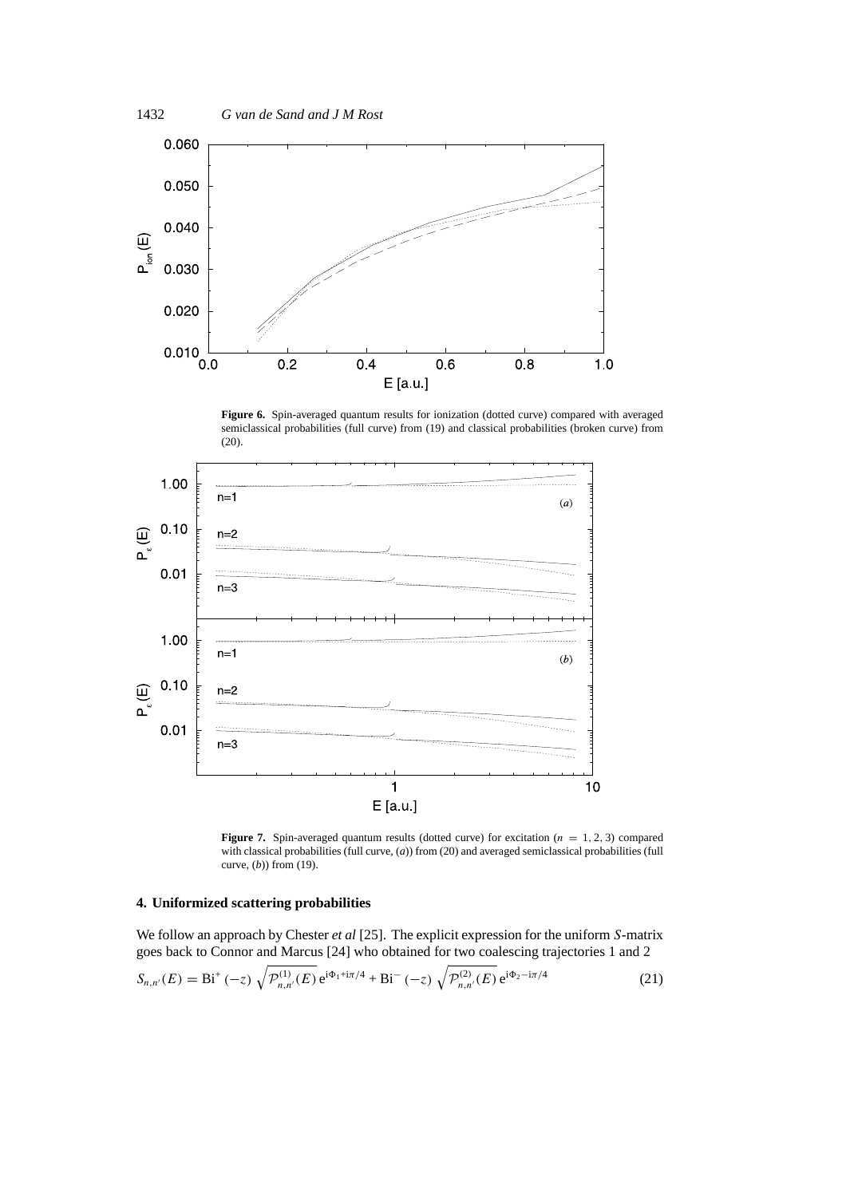

Figure 6. Spin-averaged quantum results for ionization (dotted curve) compared with averaged semiclassical probabilities (full curve) from (19) and classical probabilities (broken curve) from (20).



**Figure 7.** Spin-averaged quantum results (dotted curve) for excitation ( $n = 1, 2, 3$ ) compared with classical probabilities (full curve, (*a*)) from (20) and averaged semiclassical probabilities (full curve, (*b*)) from (19).

## **4. Uniformized scattering probabilities**

We follow an approach by Chester *et al* [25]. The explicit expression for the uniform *S*-matrix goes back to Connor and Marcus [24] who obtained for two coalescing trajectories 1 and 2

$$
S_{n,n'}(E) = \text{Bi}^+(-z) \sqrt{\mathcal{P}_{n,n'}^{(1)}(E)} e^{i\Phi_1 + i\pi/4} + \text{Bi}^-(-z) \sqrt{\mathcal{P}_{n,n'}^{(2)}(E)} e^{i\Phi_2 - i\pi/4}
$$
 (21)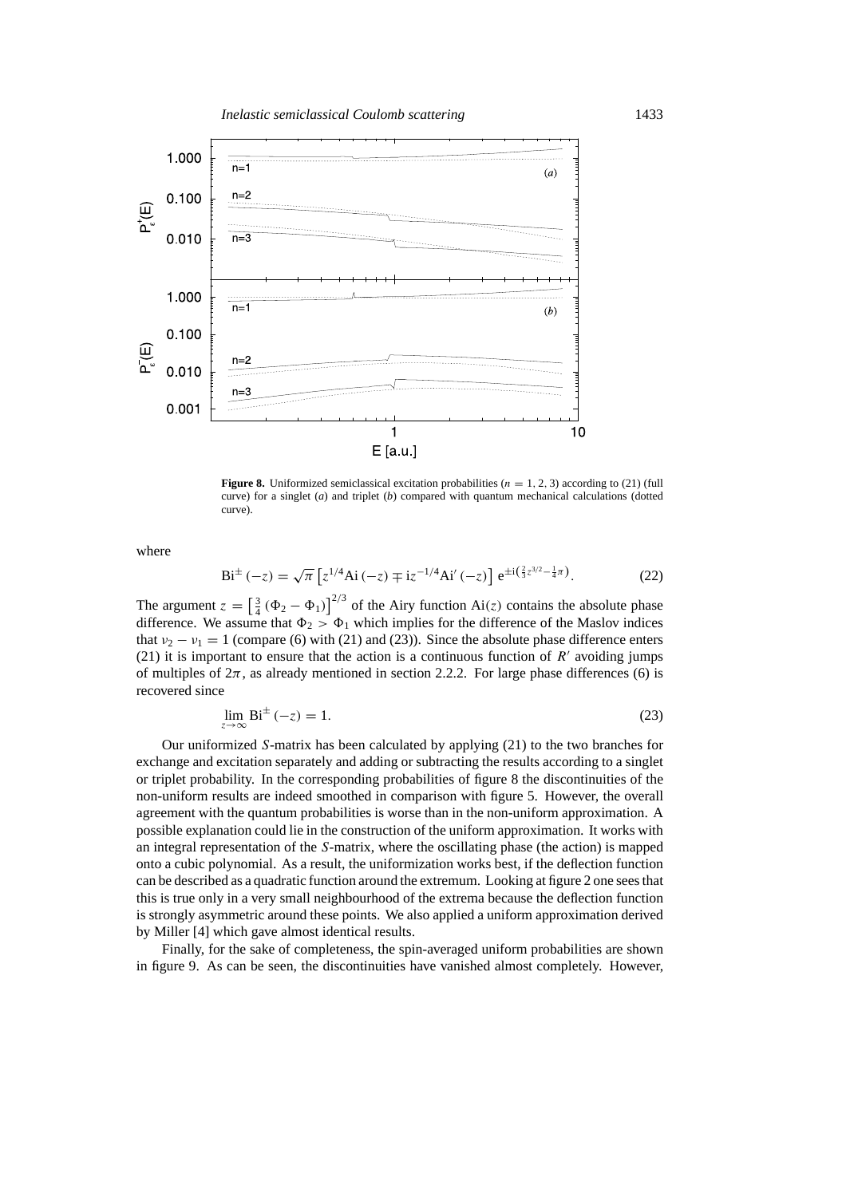

**Figure 8.** Uniformized semiclassical excitation probabilities ( $n = 1, 2, 3$ ) according to (21) (full curve) for a singlet (*a*) and triplet (*b*) compared with quantum mechanical calculations (dotted curve).

where

$$
\text{Bi}^{\pm}(-z) = \sqrt{\pi} \left[ z^{1/4} \text{Ai}(-z) \mp i z^{-1/4} \text{Ai}'(-z) \right] e^{\pm i \left( \frac{2}{3} z^{3/2} - \frac{1}{4} \pi \right)}.
$$
 (22)

The argument  $z = \left[\frac{3}{4}(\Phi_2 - \Phi_1)\right]^{2/3}$  of the Airy function Ai(z) contains the absolute phase difference. We assume that  $\Phi_2 > \Phi_1$  which implies for the difference of the Maslov indices that  $v_2 - v_1 = 1$  (compare (6) with (21) and (23)). Since the absolute phase difference enters (21) it is important to ensure that the action is a continuous function of  $R<sup>7</sup>$  avoiding jumps of multiples of  $2\pi$ , as already mentioned in section 2.2.2. For large phase differences (6) is recovered since

$$
\lim_{z \to \infty} \mathbf{Bi}^{\pm}(-z) = 1. \tag{23}
$$

Our uniformized *S*-matrix has been calculated by applying (21) to the two branches for exchange and excitation separately and adding or subtracting the results according to a singlet or triplet probability. In the corresponding probabilities of figure 8 the discontinuities of the non-uniform results are indeed smoothed in comparison with figure 5. However, the overall agreement with the quantum probabilities is worse than in the non-uniform approximation. A possible explanation could lie in the construction of the uniform approximation. It works with an integral representation of the *S*-matrix, where the oscillating phase (the action) is mapped onto a cubic polynomial. As a result, the uniformization works best, if the deflection function can be described as a quadratic function around the extremum. Looking at figure 2 one sees that this is true only in a very small neighbourhood of the extrema because the deflection function is strongly asymmetric around these points. We also applied a uniform approximation derived by Miller [4] which gave almost identical results.

Finally, for the sake of completeness, the spin-averaged uniform probabilities are shown in figure 9. As can be seen, the discontinuities have vanished almost completely. However,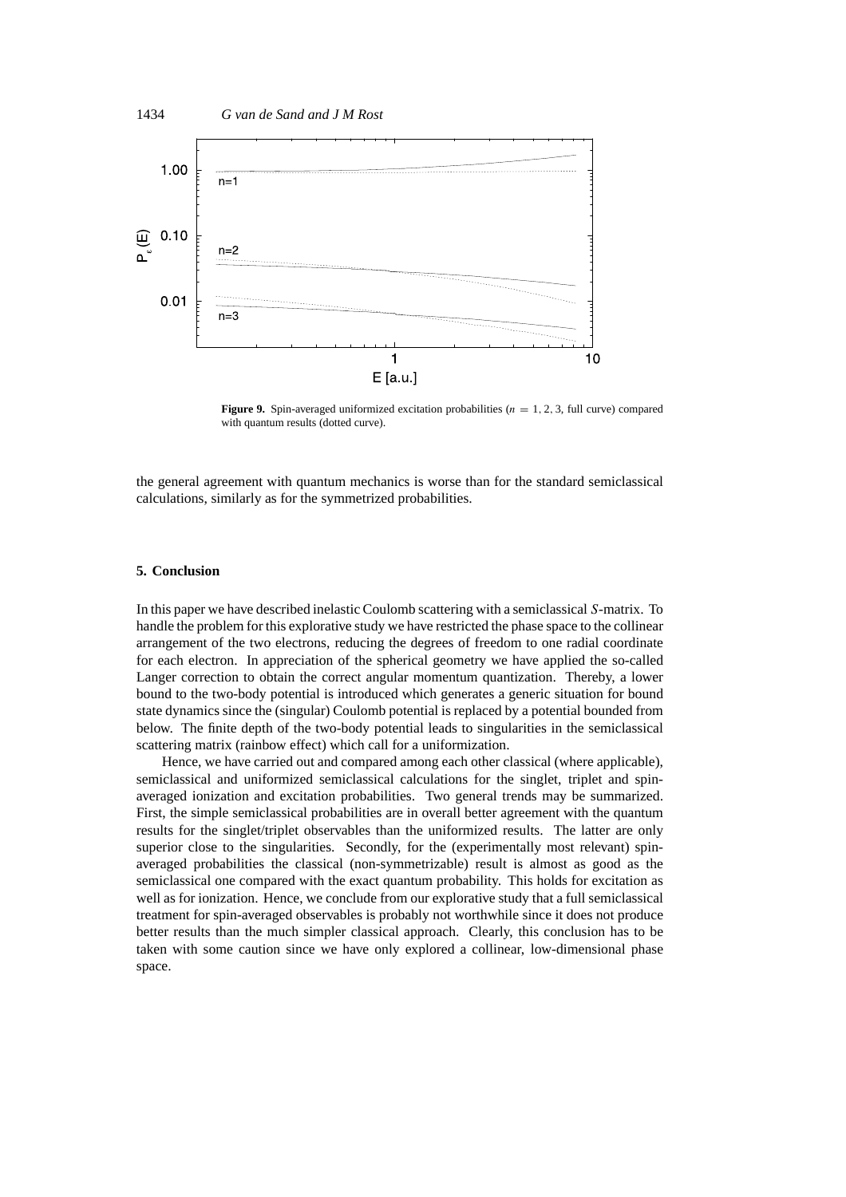

**Figure 9.** Spin-averaged uniformized excitation probabilities ( $n = 1, 2, 3$ , full curve) compared with quantum results (dotted curve).

the general agreement with quantum mechanics is worse than for the standard semiclassical calculations, similarly as for the symmetrized probabilities.

## **5. Conclusion**

In this paper we have described inelastic Coulomb scattering with a semiclassical *S*-matrix. To handle the problem for this explorative study we have restricted the phase space to the collinear arrangement of the two electrons, reducing the degrees of freedom to one radial coordinate for each electron. In appreciation of the spherical geometry we have applied the so-called Langer correction to obtain the correct angular momentum quantization. Thereby, a lower bound to the two-body potential is introduced which generates a generic situation for bound state dynamics since the (singular) Coulomb potential is replaced by a potential bounded from below. The finite depth of the two-body potential leads to singularities in the semiclassical scattering matrix (rainbow effect) which call for a uniformization.

Hence, we have carried out and compared among each other classical (where applicable), semiclassical and uniformized semiclassical calculations for the singlet, triplet and spinaveraged ionization and excitation probabilities. Two general trends may be summarized. First, the simple semiclassical probabilities are in overall better agreement with the quantum results for the singlet/triplet observables than the uniformized results. The latter are only superior close to the singularities. Secondly, for the (experimentally most relevant) spinaveraged probabilities the classical (non-symmetrizable) result is almost as good as the semiclassical one compared with the exact quantum probability. This holds for excitation as well as for ionization. Hence, we conclude from our explorative study that a full semiclassical treatment for spin-averaged observables is probably not worthwhile since it does not produce better results than the much simpler classical approach. Clearly, this conclusion has to be taken with some caution since we have only explored a collinear, low-dimensional phase space.